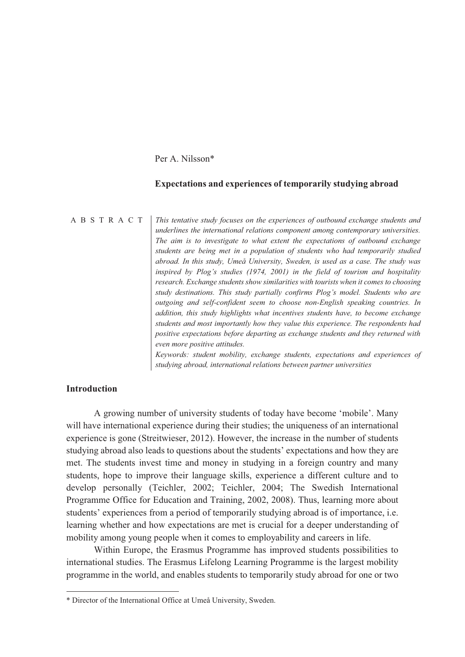Per A. Nilsson\*

#### **Expectations and experiences of temporarily studying abroad**

ABSTRACT *This tentative study focuses on the experiences of outbound exchange students and underlines the international relations component among contemporary universities. The aim is to investigate to what extent the expectations of outbound exchange students are being met in a population of students who had temporarily studied abroad. In this study, Umeå University, Sweden, is used as a case. The study was inspired by Plog's studies (1974, 2001) in the field of tourism and hospitality research. Exchange students show similarities with tourists when it comes to choosing study destinations. This study partially confirms Plog's model. Students who are outgoing and self-confident seem to choose non-English speaking countries. In addition, this study highlights what incentives students have, to become exchange students and most importantly how they value this experience. The respondents had positive expectations before departing as exchange students and they returned with even more positive attitudes. Keywords: student mobility, exchange students, expectations and experiences of* 

*studying abroad, international relations between partner universities* 

## **Introduction**

 $\overline{a}$ 

A growing number of university students of today have become 'mobile'. Many will have international experience during their studies; the uniqueness of an international experience is gone (Streitwieser, 2012). However, the increase in the number of students studying abroad also leads to questions about the students' expectations and how they are met. The students invest time and money in studying in a foreign country and many students, hope to improve their language skills, experience a different culture and to develop personally (Teichler, 2002; Teichler, 2004; The Swedish International Programme Office for Education and Training, 2002, 2008). Thus, learning more about students' experiences from a period of temporarily studying abroad is of importance, i.e. learning whether and how expectations are met is crucial for a deeper understanding of mobility among young people when it comes to employability and careers in life.

Within Europe, the Erasmus Programme has improved students possibilities to international studies. The Erasmus Lifelong Learning Programme is the largest mobility programme in the world, and enables students to temporarily study abroad for one or two

<sup>\*</sup> Director of the International Office at Umeå University, Sweden.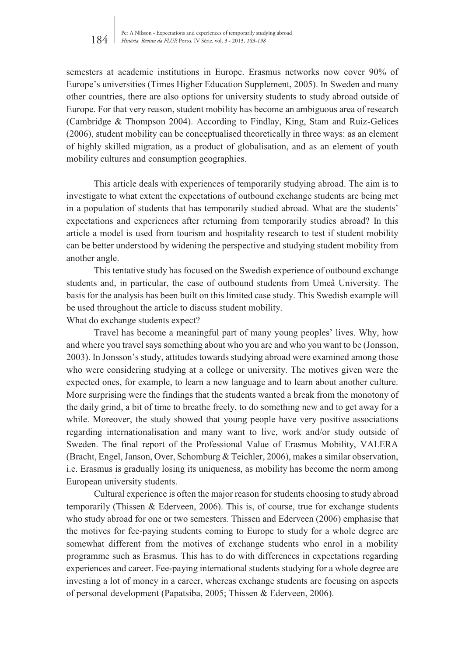semesters at academic institutions in Europe. Erasmus networks now cover 90% of Europe's universities (Times Higher Education Supplement, 2005). In Sweden and many other countries, there are also options for university students to study abroad outside of Europe. For that very reason, student mobility has become an ambiguous area of research (Cambridge & Thompson 2004). According to Findlay, King, Stam and Ruiz-Gelices (2006), student mobility can be conceptualised theoretically in three ways: as an element of highly skilled migration, as a product of globalisation, and as an element of youth mobility cultures and consumption geographies.

This article deals with experiences of temporarily studying abroad. The aim is to investigate to what extent the expectations of outbound exchange students are being met in a population of students that has temporarily studied abroad. What are the students' expectations and experiences after returning from temporarily studies abroad? In this article a model is used from tourism and hospitality research to test if student mobility can be better understood by widening the perspective and studying student mobility from another angle.

This tentative study has focused on the Swedish experience of outbound exchange students and, in particular, the case of outbound students from Umeå University. The basis for the analysis has been built on this limited case study. This Swedish example will be used throughout the article to discuss student mobility.

What do exchange students expect?

Travel has become a meaningful part of many young peoples' lives. Why, how and where you travel says something about who you are and who you want to be (Jonsson, 2003). In Jonsson's study, attitudes towards studying abroad were examined among those who were considering studying at a college or university. The motives given were the expected ones, for example, to learn a new language and to learn about another culture. More surprising were the findings that the students wanted a break from the monotony of the daily grind, a bit of time to breathe freely, to do something new and to get away for a while. Moreover, the study showed that young people have very positive associations regarding internationalisation and many want to live, work and/or study outside of Sweden. The final report of the Professional Value of Erasmus Mobility, VALERA (Bracht, Engel, Janson, Over, Schomburg & Teichler, 2006), makes a similar observation, i.e. Erasmus is gradually losing its uniqueness, as mobility has become the norm among European university students.

Cultural experience is often the major reason for students choosing to study abroad temporarily (Thissen & Ederveen, 2006). This is, of course, true for exchange students who study abroad for one or two semesters. Thissen and Ederveen (2006) emphasise that the motives for fee-paying students coming to Europe to study for a whole degree are somewhat different from the motives of exchange students who enrol in a mobility programme such as Erasmus. This has to do with differences in expectations regarding experiences and career. Fee-paying international students studying for a whole degree are investing a lot of money in a career, whereas exchange students are focusing on aspects of personal development (Papatsiba, 2005; Thissen & Ederveen, 2006).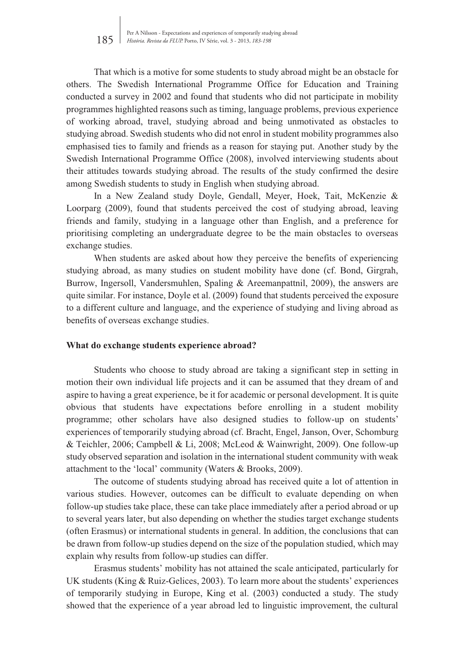That which is a motive for some students to study abroad might be an obstacle for others. The Swedish International Programme Office for Education and Training conducted a survey in 2002 and found that students who did not participate in mobility programmes highlighted reasons such as timing, language problems, previous experience of working abroad, travel, studying abroad and being unmotivated as obstacles to studying abroad. Swedish students who did not enrol in student mobility programmes also emphasised ties to family and friends as a reason for staying put. Another study by the Swedish International Programme Office (2008), involved interviewing students about their attitudes towards studying abroad. The results of the study confirmed the desire among Swedish students to study in English when studying abroad.

In a New Zealand study Doyle, Gendall, Meyer, Hoek, Tait, McKenzie & Loorparg (2009), found that students perceived the cost of studying abroad, leaving friends and family, studying in a language other than English, and a preference for prioritising completing an undergraduate degree to be the main obstacles to overseas exchange studies.

When students are asked about how they perceive the benefits of experiencing studying abroad, as many studies on student mobility have done (cf. Bond, Girgrah, Burrow, Ingersoll, Vandersmuhlen, Spaling & Areemanpattnil, 2009), the answers are quite similar. For instance, Doyle et al. (2009) found that students perceived the exposure to a different culture and language, and the experience of studying and living abroad as benefits of overseas exchange studies.

#### **What do exchange students experience abroad?**

Students who choose to study abroad are taking a significant step in setting in motion their own individual life projects and it can be assumed that they dream of and aspire to having a great experience, be it for academic or personal development. It is quite obvious that students have expectations before enrolling in a student mobility programme; other scholars have also designed studies to follow-up on students' experiences of temporarily studying abroad (cf. Bracht, Engel, Janson, Over, Schomburg & Teichler, 2006; Campbell & Li, 2008; McLeod & Wainwright, 2009). One follow-up study observed separation and isolation in the international student community with weak attachment to the 'local' community (Waters & Brooks, 2009).

The outcome of students studying abroad has received quite a lot of attention in various studies. However, outcomes can be difficult to evaluate depending on when follow-up studies take place, these can take place immediately after a period abroad or up to several years later, but also depending on whether the studies target exchange students (often Erasmus) or international students in general. In addition, the conclusions that can be drawn from follow-up studies depend on the size of the population studied, which may explain why results from follow-up studies can differ.

Erasmus students' mobility has not attained the scale anticipated, particularly for UK students (King & Ruiz-Gelices, 2003). To learn more about the students' experiences of temporarily studying in Europe, King et al. (2003) conducted a study. The study showed that the experience of a year abroad led to linguistic improvement, the cultural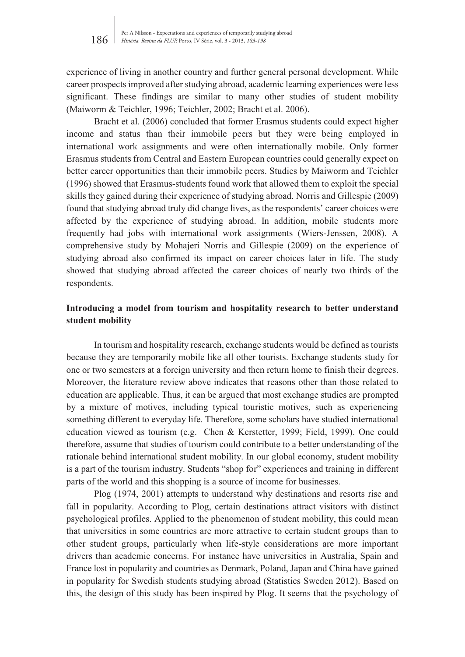experience of living in another country and further general personal development. While career prospects improved after studying abroad, academic learning experiences were less significant. These findings are similar to many other studies of student mobility (Maiworm & Teichler, 1996; Teichler, 2002; Bracht et al. 2006).

Bracht et al. (2006) concluded that former Erasmus students could expect higher income and status than their immobile peers but they were being employed in international work assignments and were often internationally mobile. Only former Erasmus students from Central and Eastern European countries could generally expect on better career opportunities than their immobile peers. Studies by Maiworm and Teichler (1996) showed that Erasmus-students found work that allowed them to exploit the special skills they gained during their experience of studying abroad. Norris and Gillespie (2009) found that studying abroad truly did change lives, as the respondents' career choices were affected by the experience of studying abroad. In addition, mobile students more frequently had jobs with international work assignments (Wiers-Jenssen, 2008). A comprehensive study by Mohajeri Norris and Gillespie (2009) on the experience of studying abroad also confirmed its impact on career choices later in life. The study showed that studying abroad affected the career choices of nearly two thirds of the respondents.

# **Introducing a model from tourism and hospitality research to better understand student mobility**

In tourism and hospitality research, exchange students would be defined as tourists because they are temporarily mobile like all other tourists. Exchange students study for one or two semesters at a foreign university and then return home to finish their degrees. Moreover, the literature review above indicates that reasons other than those related to education are applicable. Thus, it can be argued that most exchange studies are prompted by a mixture of motives, including typical touristic motives, such as experiencing something different to everyday life. Therefore, some scholars have studied international education viewed as tourism (e.g. Chen & Kerstetter, 1999; Field, 1999). One could therefore, assume that studies of tourism could contribute to a better understanding of the rationale behind international student mobility. In our global economy, student mobility is a part of the tourism industry. Students "shop for" experiences and training in different parts of the world and this shopping is a source of income for businesses.

Plog (1974, 2001) attempts to understand why destinations and resorts rise and fall in popularity. According to Plog, certain destinations attract visitors with distinct psychological profiles. Applied to the phenomenon of student mobility, this could mean that universities in some countries are more attractive to certain student groups than to other student groups, particularly when life-style considerations are more important drivers than academic concerns. For instance have universities in Australia, Spain and France lost in popularity and countries as Denmark, Poland, Japan and China have gained in popularity for Swedish students studying abroad (Statistics Sweden 2012). Based on this, the design of this study has been inspired by Plog. It seems that the psychology of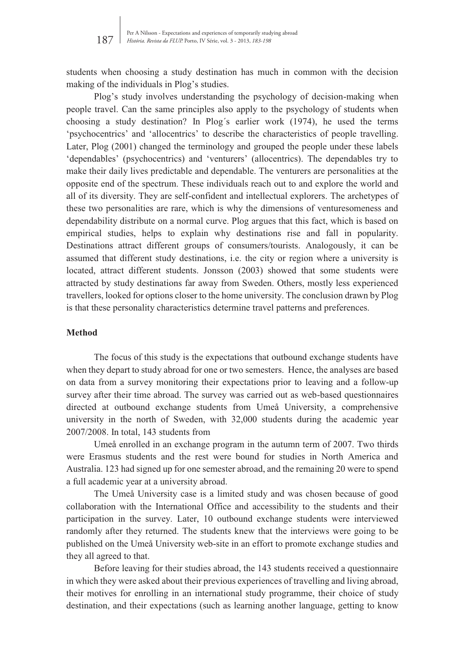students when choosing a study destination has much in common with the decision making of the individuals in Plog's studies.

Plog's study involves understanding the psychology of decision-making when people travel. Can the same principles also apply to the psychology of students when choosing a study destination? In Plog´s earlier work (1974), he used the terms 'psychocentrics' and 'allocentrics' to describe the characteristics of people travelling. Later, Plog (2001) changed the terminology and grouped the people under these labels 'dependables' (psychocentrics) and 'venturers' (allocentrics). The dependables try to make their daily lives predictable and dependable. The venturers are personalities at the opposite end of the spectrum. These individuals reach out to and explore the world and all of its diversity. They are self-confident and intellectual explorers. The archetypes of these two personalities are rare, which is why the dimensions of venturesomeness and dependability distribute on a normal curve. Plog argues that this fact, which is based on empirical studies, helps to explain why destinations rise and fall in popularity. Destinations attract different groups of consumers/tourists. Analogously, it can be assumed that different study destinations, i.e. the city or region where a university is located, attract different students. Jonsson (2003) showed that some students were attracted by study destinations far away from Sweden. Others, mostly less experienced travellers, looked for options closer to the home university. The conclusion drawn by Plog is that these personality characteristics determine travel patterns and preferences.

#### **Method**

The focus of this study is the expectations that outbound exchange students have when they depart to study abroad for one or two semesters. Hence, the analyses are based on data from a survey monitoring their expectations prior to leaving and a follow-up survey after their time abroad. The survey was carried out as web-based questionnaires directed at outbound exchange students from Umeå University, a comprehensive university in the north of Sweden, with 32,000 students during the academic year 2007/2008. In total, 143 students from

Umeå enrolled in an exchange program in the autumn term of 2007. Two thirds were Erasmus students and the rest were bound for studies in North America and Australia. 123 had signed up for one semester abroad, and the remaining 20 were to spend a full academic year at a university abroad.

The Umeå University case is a limited study and was chosen because of good collaboration with the International Office and accessibility to the students and their participation in the survey. Later, 10 outbound exchange students were interviewed randomly after they returned. The students knew that the interviews were going to be published on the Umeå University web-site in an effort to promote exchange studies and they all agreed to that.

Before leaving for their studies abroad, the 143 students received a questionnaire in which they were asked about their previous experiences of travelling and living abroad, their motives for enrolling in an international study programme, their choice of study destination, and their expectations (such as learning another language, getting to know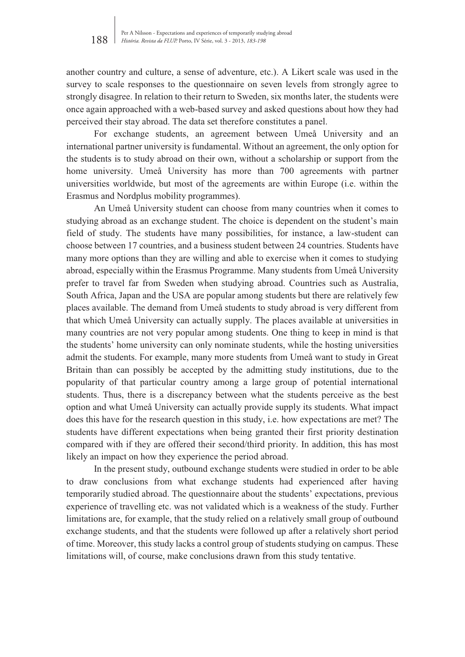another country and culture, a sense of adventure, etc.). A Likert scale was used in the survey to scale responses to the questionnaire on seven levels from strongly agree to strongly disagree. In relation to their return to Sweden, six months later, the students were once again approached with a web-based survey and asked questions about how they had perceived their stay abroad. The data set therefore constitutes a panel.

For exchange students, an agreement between Umeå University and an international partner university is fundamental. Without an agreement, the only option for the students is to study abroad on their own, without a scholarship or support from the home university. Umeå University has more than 700 agreements with partner universities worldwide, but most of the agreements are within Europe (i.e. within the Erasmus and Nordplus mobility programmes).

An Umeå University student can choose from many countries when it comes to studying abroad as an exchange student. The choice is dependent on the student's main field of study. The students have many possibilities, for instance, a law-student can choose between 17 countries, and a business student between 24 countries. Students have many more options than they are willing and able to exercise when it comes to studying abroad, especially within the Erasmus Programme. Many students from Umeå University prefer to travel far from Sweden when studying abroad. Countries such as Australia, South Africa, Japan and the USA are popular among students but there are relatively few places available. The demand from Umeå students to study abroad is very different from that which Umeå University can actually supply. The places available at universities in many countries are not very popular among students. One thing to keep in mind is that the students' home university can only nominate students, while the hosting universities admit the students. For example, many more students from Umeå want to study in Great Britain than can possibly be accepted by the admitting study institutions, due to the popularity of that particular country among a large group of potential international students. Thus, there is a discrepancy between what the students perceive as the best option and what Umeå University can actually provide supply its students. What impact does this have for the research question in this study, i.e. how expectations are met? The students have different expectations when being granted their first priority destination compared with if they are offered their second/third priority. In addition, this has most likely an impact on how they experience the period abroad.

In the present study, outbound exchange students were studied in order to be able to draw conclusions from what exchange students had experienced after having temporarily studied abroad. The questionnaire about the students' expectations, previous experience of travelling etc. was not validated which is a weakness of the study. Further limitations are, for example, that the study relied on a relatively small group of outbound exchange students, and that the students were followed up after a relatively short period of time. Moreover, this study lacks a control group of students studying on campus. These limitations will, of course, make conclusions drawn from this study tentative.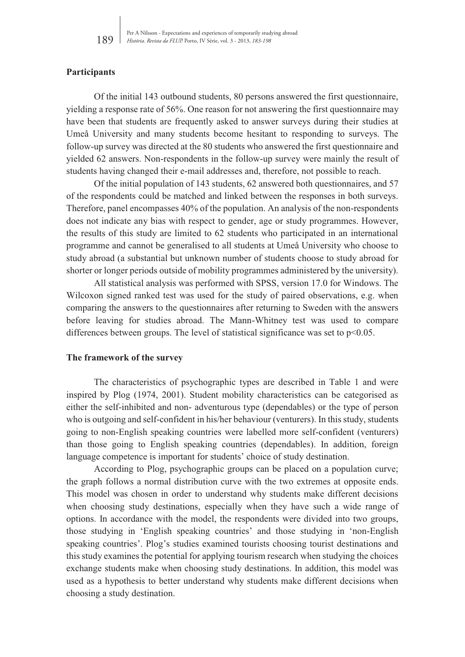# **Participants**

Of the initial 143 outbound students, 80 persons answered the first questionnaire, yielding a response rate of 56%. One reason for not answering the first questionnaire may have been that students are frequently asked to answer surveys during their studies at Umeå University and many students become hesitant to responding to surveys. The follow-up survey was directed at the 80 students who answered the first questionnaire and yielded 62 answers. Non-respondents in the follow-up survey were mainly the result of students having changed their e-mail addresses and, therefore, not possible to reach.

Of the initial population of 143 students, 62 answered both questionnaires, and 57 of the respondents could be matched and linked between the responses in both surveys. Therefore, panel encompasses 40% of the population. An analysis of the non-respondents does not indicate any bias with respect to gender, age or study programmes. However, the results of this study are limited to 62 students who participated in an international programme and cannot be generalised to all students at Umeå University who choose to study abroad (a substantial but unknown number of students choose to study abroad for shorter or longer periods outside of mobility programmes administered by the university).

All statistical analysis was performed with SPSS, version 17.0 for Windows. The Wilcoxon signed ranked test was used for the study of paired observations, e.g. when comparing the answers to the questionnaires after returning to Sweden with the answers before leaving for studies abroad. The Mann-Whitney test was used to compare differences between groups. The level of statistical significance was set to  $p<0.05$ .

## **The framework of the survey**

The characteristics of psychographic types are described in Table 1 and were inspired by Plog (1974, 2001). Student mobility characteristics can be categorised as either the self-inhibited and non- adventurous type (dependables) or the type of person who is outgoing and self-confident in his/her behaviour (venturers). In this study, students going to non-English speaking countries were labelled more self-confident (venturers) than those going to English speaking countries (dependables). In addition, foreign language competence is important for students' choice of study destination.

According to Plog, psychographic groups can be placed on a population curve; the graph follows a normal distribution curve with the two extremes at opposite ends. This model was chosen in order to understand why students make different decisions when choosing study destinations, especially when they have such a wide range of options. In accordance with the model, the respondents were divided into two groups, those studying in 'English speaking countries' and those studying in 'non-English speaking countries'. Plog's studies examined tourists choosing tourist destinations and this study examines the potential for applying tourism research when studying the choices exchange students make when choosing study destinations. In addition, this model was used as a hypothesis to better understand why students make different decisions when choosing a study destination.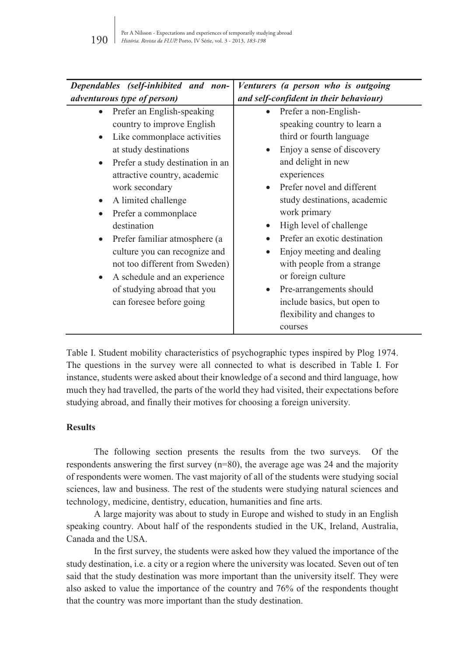| Dependables (self-inhibited and non-<br>Venturers (a person who is outgoing |                                        |  |  |  |  |  |  |
|-----------------------------------------------------------------------------|----------------------------------------|--|--|--|--|--|--|
| adventurous type of person)                                                 | and self-confident in their behaviour) |  |  |  |  |  |  |
| Prefer an English-speaking<br>$\bullet$                                     | Prefer a non-English-                  |  |  |  |  |  |  |
| country to improve English                                                  | speaking country to learn a            |  |  |  |  |  |  |
| Like commonplace activities<br>$\bullet$                                    | third or fourth language               |  |  |  |  |  |  |
| at study destinations                                                       | Enjoy a sense of discovery             |  |  |  |  |  |  |
| Prefer a study destination in an<br>$\bullet$                               | and delight in new                     |  |  |  |  |  |  |
| attractive country, academic                                                | experiences                            |  |  |  |  |  |  |
| work secondary                                                              | Prefer novel and different             |  |  |  |  |  |  |
| A limited challenge<br>$\bullet$                                            | study destinations, academic           |  |  |  |  |  |  |
| Prefer a commonplace                                                        | work primary                           |  |  |  |  |  |  |
| destination                                                                 | High level of challenge                |  |  |  |  |  |  |
| Prefer familiar atmosphere (a<br>$\bullet$                                  | Prefer an exotic destination           |  |  |  |  |  |  |
| culture you can recognize and                                               | Enjoy meeting and dealing              |  |  |  |  |  |  |
| not too different from Sweden)                                              | with people from a strange             |  |  |  |  |  |  |
| A schedule and an experience<br>$\bullet$                                   | or foreign culture                     |  |  |  |  |  |  |
| of studying abroad that you                                                 | Pre-arrangements should                |  |  |  |  |  |  |
| can foresee before going                                                    | include basics, but open to            |  |  |  |  |  |  |
|                                                                             | flexibility and changes to             |  |  |  |  |  |  |
|                                                                             | courses                                |  |  |  |  |  |  |

Table I. Student mobility characteristics of psychographic types inspired by Plog 1974. The questions in the survey were all connected to what is described in Table I. For instance, students were asked about their knowledge of a second and third language, how much they had travelled, the parts of the world they had visited, their expectations before studying abroad, and finally their motives for choosing a foreign university.

#### **Results**

The following section presents the results from the two surveys. Of the respondents answering the first survey  $(n=80)$ , the average age was 24 and the majority of respondents were women. The vast majority of all of the students were studying social sciences, law and business. The rest of the students were studying natural sciences and technology, medicine, dentistry, education, humanities and fine arts.

A large majority was about to study in Europe and wished to study in an English speaking country. About half of the respondents studied in the UK, Ireland, Australia, Canada and the USA.

In the first survey, the students were asked how they valued the importance of the study destination, i.e. a city or a region where the university was located. Seven out of ten said that the study destination was more important than the university itself. They were also asked to value the importance of the country and 76% of the respondents thought that the country was more important than the study destination.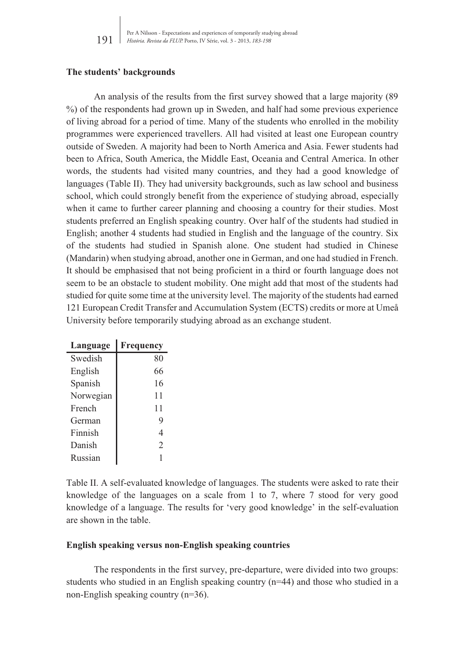## **The students' backgrounds**

An analysis of the results from the first survey showed that a large majority (89 %) of the respondents had grown up in Sweden, and half had some previous experience of living abroad for a period of time. Many of the students who enrolled in the mobility programmes were experienced travellers. All had visited at least one European country outside of Sweden. A majority had been to North America and Asia. Fewer students had been to Africa, South America, the Middle East, Oceania and Central America. In other words, the students had visited many countries, and they had a good knowledge of languages (Table II). They had university backgrounds, such as law school and business school, which could strongly benefit from the experience of studying abroad, especially when it came to further career planning and choosing a country for their studies. Most students preferred an English speaking country. Over half of the students had studied in English; another 4 students had studied in English and the language of the country. Six of the students had studied in Spanish alone. One student had studied in Chinese (Mandarin) when studying abroad, another one in German, and one had studied in French. It should be emphasised that not being proficient in a third or fourth language does not seem to be an obstacle to student mobility. One might add that most of the students had studied for quite some time at the university level. The majority of the students had earned 121 European Credit Transfer and Accumulation System (ECTS) credits or more at Umeå University before temporarily studying abroad as an exchange student.

| Language  | Frequency                     |  |  |
|-----------|-------------------------------|--|--|
| Swedish   | 80                            |  |  |
| English   | 66                            |  |  |
| Spanish   | 16                            |  |  |
| Norwegian | 11                            |  |  |
| French    | 11                            |  |  |
| German    | 9                             |  |  |
| Finnish   | 4                             |  |  |
| Danish    | $\mathfrak{D}_{\mathfrak{p}}$ |  |  |
| Russian   |                               |  |  |

Table II. A self-evaluated knowledge of languages. The students were asked to rate their knowledge of the languages on a scale from 1 to 7, where 7 stood for very good knowledge of a language. The results for 'very good knowledge' in the self-evaluation are shown in the table.

## **English speaking versus non-English speaking countries**

The respondents in the first survey, pre-departure, were divided into two groups: students who studied in an English speaking country (n=44) and those who studied in a non-English speaking country (n=36).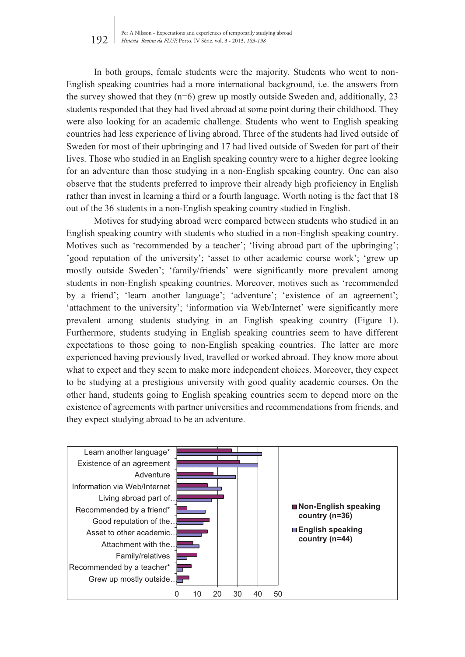In both groups, female students were the majority. Students who went to non-English speaking countries had a more international background, i.e. the answers from the survey showed that they  $(n=6)$  grew up mostly outside Sweden and, additionally, 23 students responded that they had lived abroad at some point during their childhood. They were also looking for an academic challenge. Students who went to English speaking countries had less experience of living abroad. Three of the students had lived outside of Sweden for most of their upbringing and 17 had lived outside of Sweden for part of their lives. Those who studied in an English speaking country were to a higher degree looking for an adventure than those studying in a non-English speaking country. One can also observe that the students preferred to improve their already high proficiency in English rather than invest in learning a third or a fourth language. Worth noting is the fact that 18 out of the 36 students in a non-English speaking country studied in English.

Motives for studying abroad were compared between students who studied in an English speaking country with students who studied in a non-English speaking country. Motives such as 'recommended by a teacher'; 'living abroad part of the upbringing'; 'good reputation of the university'; 'asset to other academic course work'; 'grew up mostly outside Sweden'; 'family/friends' were significantly more prevalent among students in non-English speaking countries. Moreover, motives such as 'recommended by a friend'; 'learn another language'; 'adventure'; 'existence of an agreement'; 'attachment to the university'; 'information via Web/Internet' were significantly more prevalent among students studying in an English speaking country (Figure 1). Furthermore, students studying in English speaking countries seem to have different expectations to those going to non-English speaking countries. The latter are more experienced having previously lived, travelled or worked abroad. They know more about what to expect and they seem to make more independent choices. Moreover, they expect to be studying at a prestigious university with good quality academic courses. On the other hand, students going to English speaking countries seem to depend more on the existence of agreements with partner universities and recommendations from friends, and they expect studying abroad to be an adventure.

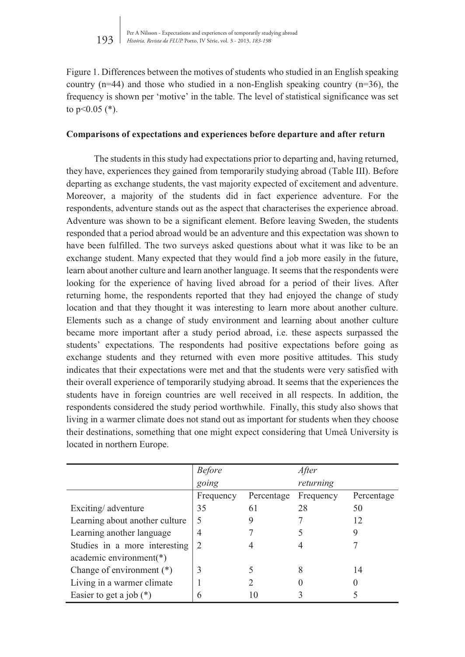Figure 1. Differences between the motives of students who studied in an English speaking country  $(n=44)$  and those who studied in a non-English speaking country  $(n=36)$ , the frequency is shown per 'motive' in the table. The level of statistical significance was set to  $p<0.05$  (\*).

## **Comparisons of expectations and experiences before departure and after return**

The students in this study had expectations prior to departing and, having returned, they have, experiences they gained from temporarily studying abroad (Table III). Before departing as exchange students, the vast majority expected of excitement and adventure. Moreover, a majority of the students did in fact experience adventure. For the respondents, adventure stands out as the aspect that characterises the experience abroad. Adventure was shown to be a significant element. Before leaving Sweden, the students responded that a period abroad would be an adventure and this expectation was shown to have been fulfilled. The two surveys asked questions about what it was like to be an exchange student. Many expected that they would find a job more easily in the future, learn about another culture and learn another language. It seems that the respondents were looking for the experience of having lived abroad for a period of their lives. After returning home, the respondents reported that they had enjoyed the change of study location and that they thought it was interesting to learn more about another culture. Elements such as a change of study environment and learning about another culture became more important after a study period abroad, i.e. these aspects surpassed the students' expectations. The respondents had positive expectations before going as exchange students and they returned with even more positive attitudes. This study indicates that their expectations were met and that the students were very satisfied with their overall experience of temporarily studying abroad. It seems that the experiences the students have in foreign countries are well received in all respects. In addition, the respondents considered the study period worthwhile. Finally, this study also shows that living in a warmer climate does not stand out as important for students when they choose their destinations, something that one might expect considering that Umeå University is located in northern Europe.

|                                | <b>Before</b> |            | After     |            |
|--------------------------------|---------------|------------|-----------|------------|
|                                | going         |            | returning |            |
|                                | Frequency     | Percentage | Frequency | Percentage |
| Exciting/adventure             | 35            | 61         | 28        | 50         |
| Learning about another culture | 5             |            |           | 12         |
| Learning another language      | 4             |            |           |            |
| Studies in a more interesting  | $\mathcal{L}$ |            |           |            |
| academic environment(*)        |               |            |           |            |
| Change of environment (*)      | 3             |            | 8         | 14         |
| Living in a warmer climate     |               |            |           |            |
| Easier to get a job $(*)$      | 6             | 10         |           |            |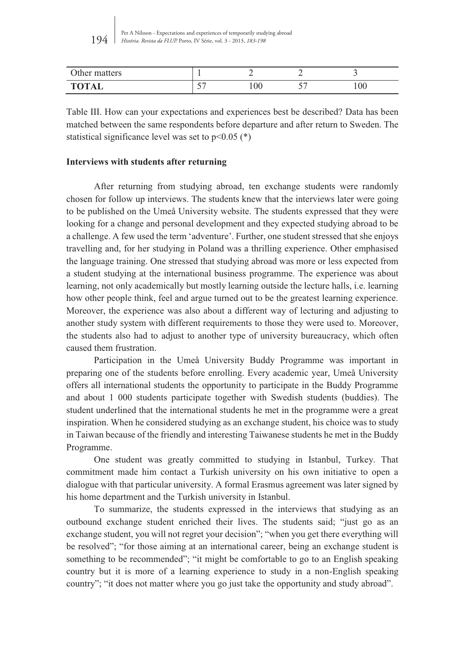| Jther<br>matters                         |                |    |   |     |
|------------------------------------------|----------------|----|---|-----|
| <b>TOTAL</b><br>$\overline{\phantom{a}}$ | --<br>$\sim$ . | 00 | ັ | 100 |

Table III. How can your expectations and experiences best be described? Data has been matched between the same respondents before departure and after return to Sweden. The statistical significance level was set to  $p<0.05$  (\*)

# **Interviews with students after returning**

After returning from studying abroad, ten exchange students were randomly chosen for follow up interviews. The students knew that the interviews later were going to be published on the Umeå University website. The students expressed that they were looking for a change and personal development and they expected studying abroad to be a challenge. A few used the term 'adventure'. Further, one student stressed that she enjoys travelling and, for her studying in Poland was a thrilling experience. Other emphasised the language training. One stressed that studying abroad was more or less expected from a student studying at the international business programme. The experience was about learning, not only academically but mostly learning outside the lecture halls, i.e. learning how other people think, feel and argue turned out to be the greatest learning experience. Moreover, the experience was also about a different way of lecturing and adjusting to another study system with different requirements to those they were used to. Moreover, the students also had to adjust to another type of university bureaucracy, which often caused them frustration.

Participation in the Umeå University Buddy Programme was important in preparing one of the students before enrolling. Every academic year, Umeå University offers all international students the opportunity to participate in the Buddy Programme and about 1 000 students participate together with Swedish students (buddies). The student underlined that the international students he met in the programme were a great inspiration. When he considered studying as an exchange student, his choice was to study in Taiwan because of the friendly and interesting Taiwanese students he met in the Buddy Programme.

One student was greatly committed to studying in Istanbul, Turkey. That commitment made him contact a Turkish university on his own initiative to open a dialogue with that particular university. A formal Erasmus agreement was later signed by his home department and the Turkish university in Istanbul.

To summarize, the students expressed in the interviews that studying as an outbound exchange student enriched their lives. The students said; "just go as an exchange student, you will not regret your decision"; "when you get there everything will be resolved"; "for those aiming at an international career, being an exchange student is something to be recommended"; "it might be comfortable to go to an English speaking country but it is more of a learning experience to study in a non-English speaking country"; "it does not matter where you go just take the opportunity and study abroad".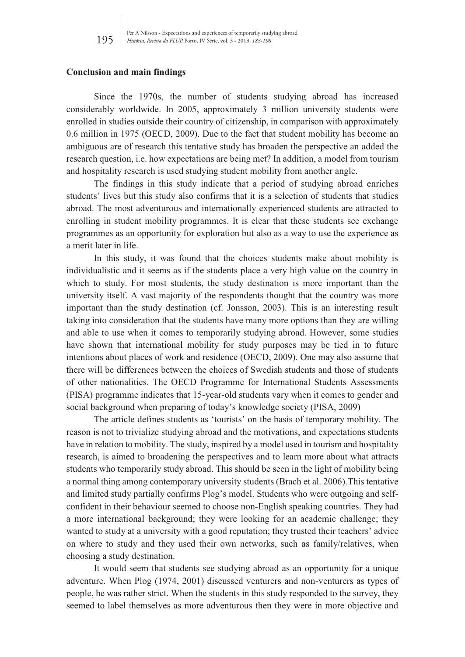#### **Conclusion and main findings**

Since the 1970s, the number of students studying abroad has increased considerably worldwide. In 2005, approximately 3 million university students were enrolled in studies outside their country of citizenship, in comparison with approximately 0.6 million in 1975 (OECD, 2009). Due to the fact that student mobility has become an ambiguous are of research this tentative study has broaden the perspective an added the research question, i.e. how expectations are being met? In addition, a model from tourism and hospitality research is used studying student mobility from another angle.

The findings in this study indicate that a period of studying abroad enriches students' lives but this study also confirms that it is a selection of students that studies abroad. The most adventurous and internationally experienced students are attracted to enrolling in student mobility programmes. It is clear that these students see exchange programmes as an opportunity for exploration but also as a way to use the experience as a merit later in life.

In this study, it was found that the choices students make about mobility is individualistic and it seems as if the students place a very high value on the country in which to study. For most students, the study destination is more important than the university itself. A vast majority of the respondents thought that the country was more important than the study destination (cf. Jonsson, 2003). This is an interesting result taking into consideration that the students have many more options than they are willing and able to use when it comes to temporarily studying abroad. However, some studies have shown that international mobility for study purposes may be tied in to future intentions about places of work and residence (OECD, 2009). One may also assume that there will be differences between the choices of Swedish students and those of students of other nationalities. The OECD Programme for International Students Assessments (PISA) programme indicates that 15-year-old students vary when it comes to gender and social background when preparing of today's knowledge society (PISA, 2009)

The article defines students as 'tourists' on the basis of temporary mobility. The reason is not to trivialize studying abroad and the motivations, and expectations students have in relation to mobility. The study, inspired by a model used in tourism and hospitality research, is aimed to broadening the perspectives and to learn more about what attracts students who temporarily study abroad. This should be seen in the light of mobility being a normal thing among contemporary university students (Brach et al. 2006).This tentative and limited study partially confirms Plog's model. Students who were outgoing and selfconfident in their behaviour seemed to choose non-English speaking countries. They had a more international background; they were looking for an academic challenge; they wanted to study at a university with a good reputation; they trusted their teachers' advice on where to study and they used their own networks, such as family/relatives, when choosing a study destination.

It would seem that students see studying abroad as an opportunity for a unique adventure. When Plog (1974, 2001) discussed venturers and non-venturers as types of people, he was rather strict. When the students in this study responded to the survey, they seemed to label themselves as more adventurous then they were in more objective and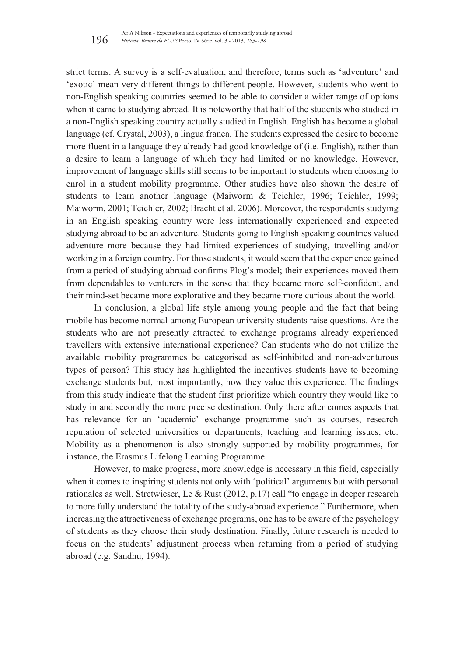strict terms. A survey is a self-evaluation, and therefore, terms such as 'adventure' and 'exotic' mean very different things to different people. However, students who went to non-English speaking countries seemed to be able to consider a wider range of options when it came to studying abroad. It is noteworthy that half of the students who studied in a non-English speaking country actually studied in English. English has become a global language (cf. Crystal, 2003), a lingua franca. The students expressed the desire to become more fluent in a language they already had good knowledge of (i.e. English), rather than a desire to learn a language of which they had limited or no knowledge. However, improvement of language skills still seems to be important to students when choosing to enrol in a student mobility programme. Other studies have also shown the desire of students to learn another language (Maiworm & Teichler, 1996; Teichler, 1999; Maiworm, 2001; Teichler, 2002; Bracht et al. 2006). Moreover, the respondents studying in an English speaking country were less internationally experienced and expected studying abroad to be an adventure. Students going to English speaking countries valued adventure more because they had limited experiences of studying, travelling and/or working in a foreign country. For those students, it would seem that the experience gained from a period of studying abroad confirms Plog's model; their experiences moved them from dependables to venturers in the sense that they became more self-confident, and their mind-set became more explorative and they became more curious about the world.

In conclusion, a global life style among young people and the fact that being mobile has become normal among European university students raise questions. Are the students who are not presently attracted to exchange programs already experienced travellers with extensive international experience? Can students who do not utilize the available mobility programmes be categorised as self-inhibited and non-adventurous types of person? This study has highlighted the incentives students have to becoming exchange students but, most importantly, how they value this experience. The findings from this study indicate that the student first prioritize which country they would like to study in and secondly the more precise destination. Only there after comes aspects that has relevance for an 'academic' exchange programme such as courses, research reputation of selected universities or departments, teaching and learning issues, etc. Mobility as a phenomenon is also strongly supported by mobility programmes, for instance, the Erasmus Lifelong Learning Programme.

However, to make progress, more knowledge is necessary in this field, especially when it comes to inspiring students not only with 'political' arguments but with personal rationales as well. Stretwieser, Le & Rust (2012, p.17) call "to engage in deeper research to more fully understand the totality of the study-abroad experience." Furthermore, when increasing the attractiveness of exchange programs, one has to be aware of the psychology of students as they choose their study destination. Finally, future research is needed to focus on the students' adjustment process when returning from a period of studying abroad (e.g. Sandhu, 1994).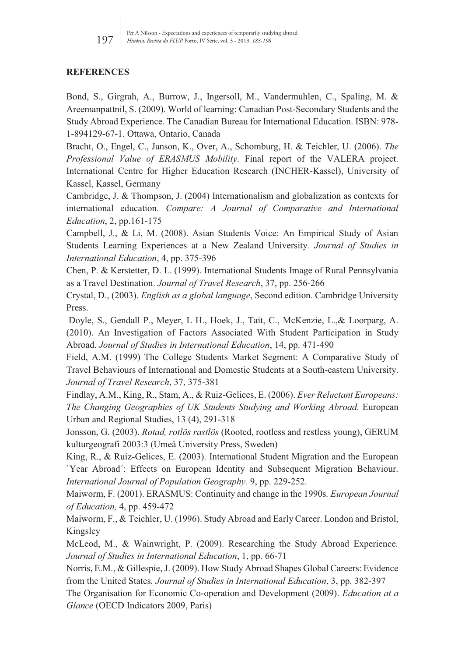# **REFERENCES**

Bond, S., Girgrah, A., Burrow, J., Ingersoll, M., Vandermuhlen, C., Spaling, M. & Areemanpattnil, S. (2009). World of learning: Canadian Post-Secondary Students and the Study Abroad Experience. The Canadian Bureau for International Education. ISBN: 978- 1-894129-67-1. Ottawa, Ontario, Canada

Bracht, O., Engel, C., Janson, K., Over, A., Schomburg, H. & Teichler, U. (2006). *The Professional Value of ERASMUS Mobility*. Final report of the VALERA project. International Centre for Higher Education Research (INCHER-Kassel), University of Kassel, Kassel, Germany

Cambridge, J. & Thompson, J. (2004) Internationalism and globalization as contexts for international education. *Compare: A Journal of Comparative and International Education*, 2, pp.161-175

Campbell, J., & Li, M. (2008). Asian Students Voice: An Empirical Study of Asian Students Learning Experiences at a New Zealand University*. Journal of Studies in International Education*, 4, pp. 375-396

Chen, P. & Kerstetter, D. L. (1999). International Students Image of Rural Pennsylvania as a Travel Destination. *Journal of Travel Research*, 37, pp. 256-266

Crystal, D., (2003). *English as a global language*, Second edition. Cambridge University Press.

 Doyle, S., Gendall P., Meyer, L H., Hoek, J., Tait, C., McKenzie, L.,& Loorparg, A. (2010). An Investigation of Factors Associated With Student Participation in Study Abroad. *Journal of Studies in International Education*, 14, pp. 471-490

Field, A.M. (1999) The College Students Market Segment: A Comparative Study of Travel Behaviours of International and Domestic Students at a South-eastern University. *Journal of Travel Research*, 37, 375-381

Findlay, A.M., King, R., Stam, A., & Ruiz-Gelices, E. (2006). *Ever Reluctant Europeans: The Changing Geographies of UK Students Studying and Working Abroad.* European Urban and Regional Studies, 13 (4), 291-318

Jonsson, G. (2003). *Rotad, rotlös rastlös* (Rooted, rootless and restless young), GERUM kulturgeografi 2003:3 (Umeå University Press, Sweden)

King, R., & Ruiz-Gelices, E. (2003). International Student Migration and the European `Year Abroad´: Effects on European Identity and Subsequent Migration Behaviour. *International Journal of Population Geography.* 9, pp. 229-252.

Maiworm, F. (2001). ERASMUS: Continuity and change in the 1990s*. European Journal of Education,* 4, pp. 459-472

Maiworm, F., & Teichler, U. (1996). Study Abroad and Early Career. London and Bristol, Kingsley

McLeod, M., & Wainwright, P. (2009). Researching the Study Abroad Experience*. Journal of Studies in International Education*, 1, pp. 66-71

Norris, E.M., & Gillespie, J. (2009). How Study Abroad Shapes Global Careers: Evidence from the United States*. Journal of Studies in International Education*, 3, pp. 382-397

The Organisation for Economic Co-operation and Development (2009). *Education at a Glance* (OECD Indicators 2009, Paris)